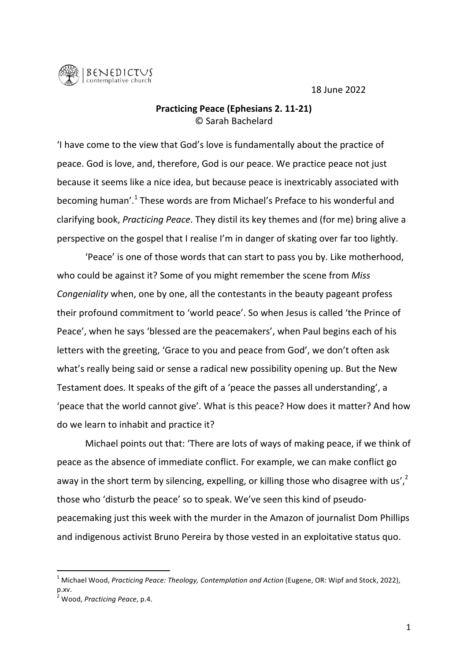18 June 2022



## **Practicing Peace (Ephesians 2. 11-21)** © Sarah Bachelard

'I have come to the view that God's love is fundamentally about the practice of peace. God is love, and, therefore, God is our peace. We practice peace not just because it seems like a nice idea, but because peace is inextricably associated with becoming human'.<sup>1</sup> These words are from Michael's Preface to his wonderful and clarifying book, *Practicing Peace*. They distil its key themes and (for me) bring alive a perspective on the gospel that I realise I'm in danger of skating over far too lightly.

'Peace' is one of those words that can start to pass you by. Like motherhood, who could be against it? Some of you might remember the scene from *Miss Congeniality* when, one by one, all the contestants in the beauty pageant profess their profound commitment to 'world peace'. So when Jesus is called 'the Prince of Peace', when he says 'blessed are the peacemakers', when Paul begins each of his letters with the greeting, 'Grace to you and peace from God', we don't often ask what's really being said or sense a radical new possibility opening up. But the New Testament does. It speaks of the gift of a 'peace the passes all understanding', a 'peace that the world cannot give'. What is this peace? How does it matter? And how do we learn to inhabit and practice it?

Michael points out that: 'There are lots of ways of making peace, if we think of peace as the absence of immediate conflict. For example, we can make conflict go away in the short term by silencing, expelling, or killing those who disagree with us',<sup>2</sup> those who 'disturb the peace' so to speak. We've seen this kind of pseudopeacemaking just this week with the murder in the Amazon of journalist Dom Phillips and indigenous activist Bruno Pereira by those vested in an exploitative status quo.

 $^1$  Michael Wood, *Practicing Peace: Theology, Contemplation and Action* (Eugene, OR: Wipf and Stock, 2022), p.xv.

<sup>2</sup> Wood, *Practicing Peace*, p.4.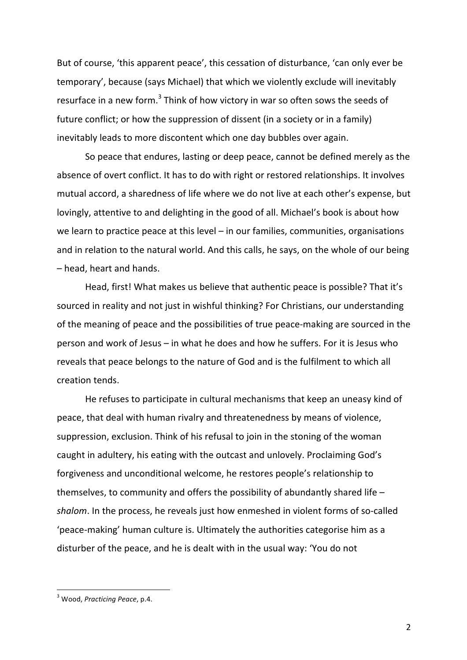But of course, 'this apparent peace', this cessation of disturbance, 'can only ever be temporary', because (says Michael) that which we violently exclude will inevitably resurface in a new form.<sup>3</sup> Think of how victory in war so often sows the seeds of future conflict; or how the suppression of dissent (in a society or in a family) inevitably leads to more discontent which one day bubbles over again.

So peace that endures, lasting or deep peace, cannot be defined merely as the absence of overt conflict. It has to do with right or restored relationships. It involves mutual accord, a sharedness of life where we do not live at each other's expense, but lovingly, attentive to and delighting in the good of all. Michael's book is about how we learn to practice peace at this level  $-$  in our families, communities, organisations and in relation to the natural world. And this calls, he says, on the whole of our being – head, heart and hands.

Head, first! What makes us believe that authentic peace is possible? That it's sourced in reality and not just in wishful thinking? For Christians, our understanding of the meaning of peace and the possibilities of true peace-making are sourced in the person and work of Jesus  $-$  in what he does and how he suffers. For it is Jesus who reveals that peace belongs to the nature of God and is the fulfilment to which all creation tends. 

He refuses to participate in cultural mechanisms that keep an uneasy kind of peace, that deal with human rivalry and threatenedness by means of violence, suppression, exclusion. Think of his refusal to join in the stoning of the woman caught in adultery, his eating with the outcast and unlovely. Proclaiming God's forgiveness and unconditional welcome, he restores people's relationship to themselves, to community and offers the possibility of abundantly shared life  $$ shalom. In the process, he reveals just how enmeshed in violent forms of so-called 'peace-making' human culture is. Ultimately the authorities categorise him as a disturber of the peace, and he is dealt with in the usual way: 'You do not

<sup>&</sup>lt;sup>3</sup> Wood, *Practicing Peace*, p.4.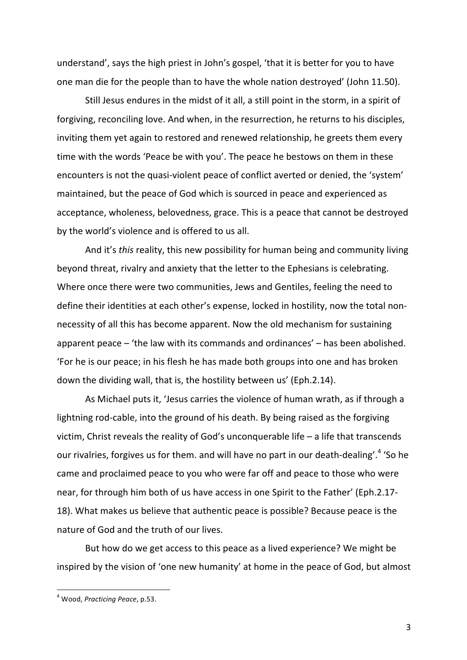understand', says the high priest in John's gospel, 'that it is better for you to have one man die for the people than to have the whole nation destroyed' (John 11.50).

Still Jesus endures in the midst of it all, a still point in the storm, in a spirit of forgiving, reconciling love. And when, in the resurrection, he returns to his disciples, inviting them yet again to restored and renewed relationship, he greets them every time with the words 'Peace be with you'. The peace he bestows on them in these encounters is not the quasi-violent peace of conflict averted or denied, the 'system' maintained, but the peace of God which is sourced in peace and experienced as acceptance, wholeness, belovedness, grace. This is a peace that cannot be destroyed by the world's violence and is offered to us all.

And it's *this* reality, this new possibility for human being and community living beyond threat, rivalry and anxiety that the letter to the Ephesians is celebrating. Where once there were two communities, Jews and Gentiles, feeling the need to define their identities at each other's expense, locked in hostility, now the total nonnecessity of all this has become apparent. Now the old mechanism for sustaining apparent peace  $-$  'the law with its commands and ordinances'  $-$  has been abolished. 'For he is our peace; in his flesh he has made both groups into one and has broken down the dividing wall, that is, the hostility between us' (Eph.2.14).

As Michael puts it, 'Jesus carries the violence of human wrath, as if through a lightning rod-cable, into the ground of his death. By being raised as the forgiving victim, Christ reveals the reality of God's unconquerable life  $-$  a life that transcends our rivalries, forgives us for them. and will have no part in our death-dealing'.<sup>4</sup> 'So he came and proclaimed peace to you who were far off and peace to those who were near, for through him both of us have access in one Spirit to the Father' (Eph.2.17-18). What makes us believe that authentic peace is possible? Because peace is the nature of God and the truth of our lives.

But how do we get access to this peace as a lived experience? We might be inspired by the vision of 'one new humanity' at home in the peace of God, but almost

<sup>&</sup>lt;sup>4</sup> Wood, *Practicing Peace*, p.53.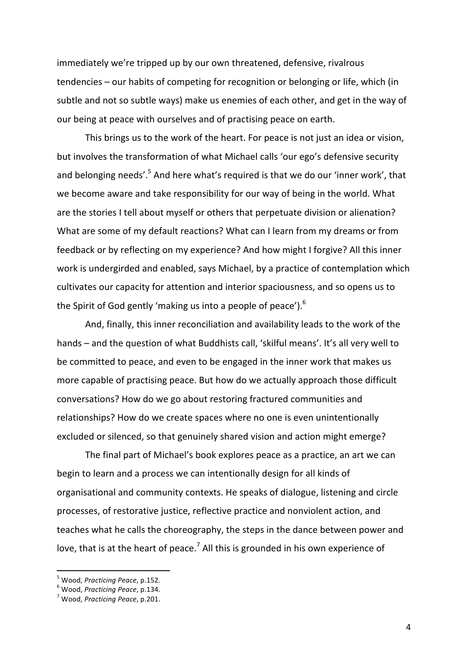immediately we're tripped up by our own threatened, defensive, rivalrous  $t$ endencies – our habits of competing for recognition or belonging or life, which (in subtle and not so subtle ways) make us enemies of each other, and get in the way of our being at peace with ourselves and of practising peace on earth.

This brings us to the work of the heart. For peace is not just an idea or vision, but involves the transformation of what Michael calls 'our ego's defensive security and belonging needs'.<sup>5</sup> And here what's required is that we do our 'inner work', that we become aware and take responsibility for our way of being in the world. What are the stories I tell about myself or others that perpetuate division or alienation? What are some of my default reactions? What can I learn from my dreams or from feedback or by reflecting on my experience? And how might I forgive? All this inner work is undergirded and enabled, says Michael, by a practice of contemplation which cultivates our capacity for attention and interior spaciousness, and so opens us to the Spirit of God gently 'making us into a people of peace').<sup>6</sup>

And, finally, this inner reconciliation and availability leads to the work of the hands – and the question of what Buddhists call, 'skilful means'. It's all very well to be committed to peace, and even to be engaged in the inner work that makes us more capable of practising peace. But how do we actually approach those difficult conversations? How do we go about restoring fractured communities and relationships? How do we create spaces where no one is even unintentionally excluded or silenced, so that genuinely shared vision and action might emerge?

The final part of Michael's book explores peace as a practice, an art we can begin to learn and a process we can intentionally design for all kinds of organisational and community contexts. He speaks of dialogue, listening and circle processes, of restorative justice, reflective practice and nonviolent action, and teaches what he calls the choreography, the steps in the dance between power and love, that is at the heart of peace.<sup>7</sup> All this is grounded in his own experience of

<sup>&</sup>lt;sup>5</sup> Wood, *Practicing Peace*, p.152.<br><sup>6</sup> Wood, *Practicing Peace*, p.134.<br><sup>7</sup> Wood, *Practicing Peace*, p.201.